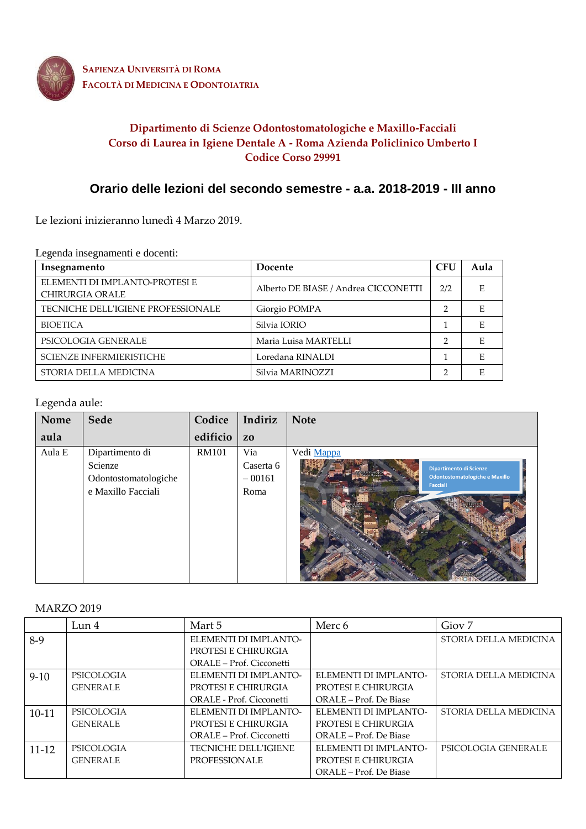

**SAPIENZA UNIVERSITÀ DI ROMA FACOLTÀ DI MEDICINA E ODONTOIATRIA**

## **Dipartimento di Scienze Odontostomatologiche e Maxillo-Facciali Corso di Laurea in Igiene Dentale A - Roma Azienda Policlinico Umberto I Codice Corso 29991**

# **Orario delle lezioni del secondo semestre - a.a. 2018-2019 - III anno**

Le lezioni inizieranno lunedì 4 Marzo 2019.

Legenda insegnamenti e docenti:

| Insegnamento                                             | Docente                              | <b>CFU</b>    | Aula |
|----------------------------------------------------------|--------------------------------------|---------------|------|
| ELEMENTI DI IMPLANTO-PROTESI E<br><b>CHIRURGIA ORALE</b> | Alberto DE BIASE / Andrea CICCONETTI | 2/2           |      |
| TECNICHE DELL'IGIENE PROFESSIONALE                       | Giorgio POMPA                        | $\mathcal{P}$ |      |
| <b>BIOETICA</b>                                          | Silvia IORIO                         |               |      |
| PSICOLOGIA GENERALE                                      | Maria Luisa MARTELLI                 | ∍             |      |
| SCIENZE INFERMIERISTICHE                                 | Loredana RINALDI                     |               |      |
| STORIA DELLA MEDICINA                                    | Silvia MARINOZZI                     | ∍             |      |

## Legenda aule:

| Nome   | Sede                                                                     | Codice       | Indiriz                              | <b>Note</b>                                                                                       |
|--------|--------------------------------------------------------------------------|--------------|--------------------------------------|---------------------------------------------------------------------------------------------------|
| aula   |                                                                          | edificio     | Z <sub>0</sub>                       |                                                                                                   |
| Aula E | Dipartimento di<br>Scienze<br>Odontostomatologiche<br>e Maxillo Facciali | <b>RM101</b> | Via<br>Caserta 6<br>$-00161$<br>Roma | Vedi Mappa<br><b>Dipartimento di Scienze</b><br>Odontostomatologiche e Maxillo<br><b>Facciali</b> |

## MARZO 2019

|           | Lun <sub>4</sub>  | Mart 5                      | Merc 6                 | Giov <sub>7</sub>     |
|-----------|-------------------|-----------------------------|------------------------|-----------------------|
| 8-9       |                   | ELEMENTI DI IMPLANTO-       |                        | STORIA DELLA MEDICINA |
|           |                   | PROTESI E CHIRURGIA         |                        |                       |
|           |                   | ORALE – Prof. Cicconetti    |                        |                       |
| $9-10$    | <b>PSICOLOGIA</b> | ELEMENTI DI IMPLANTO-       | ELEMENTI DI IMPLANTO-  | STORIA DELLA MEDICINA |
|           | <b>GENERALE</b>   | PROTESI E CHIRURGIA         | PROTESI E CHIRURGIA    |                       |
|           |                   | ORALE - Prof. Cicconetti    | ORALE – Prof. De Biase |                       |
| $10-11$   | <b>PSICOLOGIA</b> | ELEMENTI DI IMPLANTO-       | ELEMENTI DI IMPLANTO-  | STORIA DELLA MEDICINA |
|           | <b>GENERALE</b>   | PROTESI E CHIRURGIA         | PROTESI E CHIRURGIA    |                       |
|           |                   | ORALE – Prof. Cicconetti    | ORALE – Prof. De Biase |                       |
| $11 - 12$ | <b>PSICOLOGIA</b> | <b>TECNICHE DELL'IGIENE</b> | ELEMENTI DI IMPLANTO-  | PSICOLOGIA GENERALE   |
|           | <b>GENERALE</b>   | <b>PROFESSIONALE</b>        | PROTESI E CHIRURGIA    |                       |
|           |                   |                             | ORALE – Prof. De Biase |                       |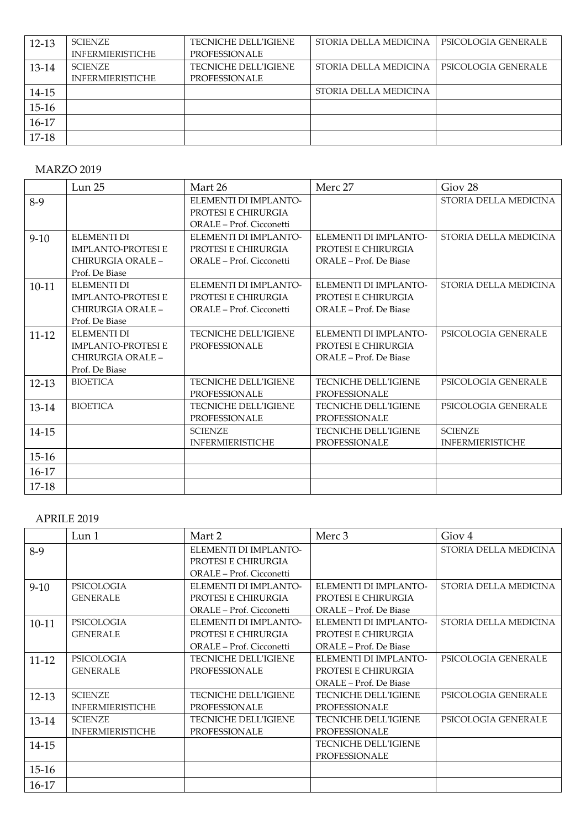| $12 - 13$ | <b>SCIENZE</b>          | <b>TECNICHE DELL'IGIENE</b> | STORIA DELLA MEDICINA | PSICOLOGIA GENERALE |
|-----------|-------------------------|-----------------------------|-----------------------|---------------------|
|           | <b>INFERMIERISTICHE</b> | PROFESSIONALE               |                       |                     |
| 13-14     | <b>SCIENZE</b>          | <b>TECNICHE DELL'IGIENE</b> | STORIA DELLA MEDICINA | PSICOLOGIA GENERALE |
|           | <b>INFERMIERISTICHE</b> | PROFESSIONALE               |                       |                     |
| $14 - 15$ |                         |                             | STORIA DELLA MEDICINA |                     |
| $15-16$   |                         |                             |                       |                     |
| 16-17     |                         |                             |                       |                     |
| 17-18     |                         |                             |                       |                     |

## MARZO 2019

|           | Lun 25                    | Mart 26                     | Merc 27                     | Giov <sub>28</sub>      |
|-----------|---------------------------|-----------------------------|-----------------------------|-------------------------|
| $8-9$     |                           | ELEMENTI DI IMPLANTO-       |                             | STORIA DELLA MEDICINA   |
|           |                           | PROTESI E CHIRURGIA         |                             |                         |
|           |                           | ORALE - Prof. Cicconetti    |                             |                         |
| $9-10$    | ELEMENTI DI               | ELEMENTI DI IMPLANTO-       | ELEMENTI DI IMPLANTO-       | STORIA DELLA MEDICINA   |
|           | <b>IMPLANTO-PROTESI E</b> | PROTESI E CHIRURGIA         | PROTESI E CHIRURGIA         |                         |
|           | CHIRURGIA ORALE -         | ORALE - Prof. Cicconetti    | ORALE – Prof. De Biase      |                         |
|           | Prof. De Biase            |                             |                             |                         |
| $10 - 11$ | <b>ELEMENTI DI</b>        | ELEMENTI DI IMPLANTO-       | ELEMENTI DI IMPLANTO-       | STORIA DELLA MEDICINA   |
|           | <b>IMPLANTO-PROTESI E</b> | PROTESI E CHIRURGIA         | PROTESI E CHIRURGIA         |                         |
|           | CHIRURGIA ORALE -         | ORALE - Prof. Cicconetti    | ORALE - Prof. De Biase      |                         |
|           | Prof. De Biase            |                             |                             |                         |
| $11 - 12$ | <b>ELEMENTI DI</b>        | <b>TECNICHE DELL'IGIENE</b> | ELEMENTI DI IMPLANTO-       | PSICOLOGIA GENERALE     |
|           | <b>IMPLANTO-PROTESI E</b> | PROFESSIONALE               | PROTESI E CHIRURGIA         |                         |
|           | CHIRURGIA ORALE -         |                             | ORALE - Prof. De Biase      |                         |
|           | Prof. De Biase            |                             |                             |                         |
| $12 - 13$ | <b>BIOETICA</b>           | <b>TECNICHE DELL'IGIENE</b> | <b>TECNICHE DELL'IGIENE</b> | PSICOLOGIA GENERALE     |
|           |                           | PROFESSIONALE               | <b>PROFESSIONALE</b>        |                         |
| 13-14     | <b>BIOETICA</b>           | TECNICHE DELL'IGIENE        | TECNICHE DELL'IGIENE        | PSICOLOGIA GENERALE     |
|           |                           | PROFESSIONALE               | <b>PROFESSIONALE</b>        |                         |
| 14-15     |                           | <b>SCIENZE</b>              | <b>TECNICHE DELL'IGIENE</b> | <b>SCIENZE</b>          |
|           |                           | <b>INFERMIERISTICHE</b>     | PROFESSIONALE               | <b>INFERMIERISTICHE</b> |
| $15-16$   |                           |                             |                             |                         |
| $16-17$   |                           |                             |                             |                         |
| 17-18     |                           |                             |                             |                         |

## APRILE 2019

|           | Lun <sub>1</sub>        | Mart 2                      | Merc 3                      | Giov <sub>4</sub>     |
|-----------|-------------------------|-----------------------------|-----------------------------|-----------------------|
| $8-9$     |                         | ELEMENTI DI IMPLANTO-       |                             | STORIA DELLA MEDICINA |
|           |                         | PROTESI E CHIRURGIA         |                             |                       |
|           |                         | ORALE - Prof. Cicconetti    |                             |                       |
| $9-10$    | PSICOLOGIA              | ELEMENTI DI IMPLANTO-       | ELEMENTI DI IMPLANTO-       | STORIA DELLA MEDICINA |
|           | <b>GENERALE</b>         | PROTESI E CHIRURGIA         | PROTESI E CHIRURGIA         |                       |
|           |                         | ORALE - Prof. Cicconetti    | ORALE - Prof. De Biase      |                       |
| $10 - 11$ | PSICOLOGIA              | ELEMENTI DI IMPLANTO-       | ELEMENTI DI IMPLANTO-       | STORIA DELLA MEDICINA |
|           | <b>GENERALE</b>         | PROTESI E CHIRURGIA         | PROTESI E CHIRURGIA         |                       |
|           |                         | ORALE - Prof. Cicconetti    | ORALE – Prof. De Biase      |                       |
| $11 - 12$ | PSICOLOGIA              | <b>TECNICHE DELL'IGIENE</b> | ELEMENTI DI IMPLANTO-       | PSICOLOGIA GENERALE   |
|           | <b>GENERALE</b>         | <b>PROFESSIONALE</b>        | PROTESI E CHIRURGIA         |                       |
|           |                         |                             | ORALE – Prof. De Biase      |                       |
| $12 - 13$ | <b>SCIENZE</b>          | <b>TECNICHE DELL'IGIENE</b> | <b>TECNICHE DELL'IGIENE</b> | PSICOLOGIA GENERALE   |
|           | <b>INFERMIERISTICHE</b> | <b>PROFESSIONALE</b>        | PROFESSIONALE               |                       |
| 13-14     | <b>SCIENZE</b>          | <b>TECNICHE DELL'IGIENE</b> | <b>TECNICHE DELL'IGIENE</b> | PSICOLOGIA GENERALE   |
|           | <b>INFERMIERISTICHE</b> | PROFESSIONALE               | PROFESSIONALE               |                       |
| 14-15     |                         |                             | <b>TECNICHE DELL'IGIENE</b> |                       |
|           |                         |                             | PROFESSIONALE               |                       |
| $15-16$   |                         |                             |                             |                       |
| $16-17$   |                         |                             |                             |                       |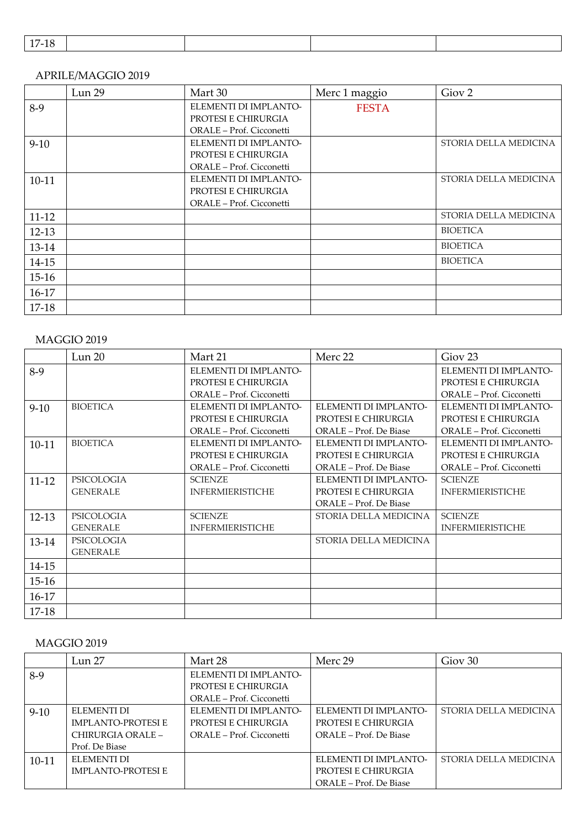| . |  |  |  |  |  |  |
|---|--|--|--|--|--|--|
|---|--|--|--|--|--|--|

#### APRILE/MAGGIO 2019

|           | Lun 29 | Mart 30                  | Merc 1 maggio | Giov <sub>2</sub>     |
|-----------|--------|--------------------------|---------------|-----------------------|
| $8-9$     |        | ELEMENTI DI IMPLANTO-    | <b>FESTA</b>  |                       |
|           |        | PROTESI E CHIRURGIA      |               |                       |
|           |        | ORALE - Prof. Cicconetti |               |                       |
| $9-10$    |        | ELEMENTI DI IMPLANTO-    |               | STORIA DELLA MEDICINA |
|           |        | PROTESI E CHIRURGIA      |               |                       |
|           |        | ORALE - Prof. Cicconetti |               |                       |
| $10 - 11$ |        | ELEMENTI DI IMPLANTO-    |               | STORIA DELLA MEDICINA |
|           |        | PROTESI E CHIRURGIA      |               |                       |
|           |        | ORALE – Prof. Cicconetti |               |                       |
| $11 - 12$ |        |                          |               | STORIA DELLA MEDICINA |
| $12 - 13$ |        |                          |               | <b>BIOETICA</b>       |
| 13-14     |        |                          |               | <b>BIOETICA</b>       |
| 14-15     |        |                          |               | <b>BIOETICA</b>       |
| $15 - 16$ |        |                          |               |                       |
| $16-17$   |        |                          |               |                       |
| $17-18$   |        |                          |               |                       |

## MAGGIO 2019

|           | Lun 20          | Mart 21                  | Merc 22                | Giov <sub>23</sub>       |
|-----------|-----------------|--------------------------|------------------------|--------------------------|
| $8-9$     |                 | ELEMENTI DI IMPLANTO-    |                        | ELEMENTI DI IMPLANTO-    |
|           |                 | PROTESI E CHIRURGIA      |                        | PROTESI E CHIRURGIA      |
|           |                 | ORALE – Prof. Cicconetti |                        | ORALE – Prof. Cicconetti |
| $9-10$    | <b>BIOETICA</b> | ELEMENTI DI IMPLANTO-    | ELEMENTI DI IMPLANTO-  | ELEMENTI DI IMPLANTO-    |
|           |                 | PROTESI E CHIRURGIA      | PROTESI E CHIRURGIA    | PROTESI E CHIRURGIA      |
|           |                 | ORALE - Prof. Cicconetti | ORALE – Prof. De Biase | ORALE – Prof. Cicconetti |
| 10-11     | <b>BIOETICA</b> | ELEMENTI DI IMPLANTO-    | ELEMENTI DI IMPLANTO-  | ELEMENTI DI IMPLANTO-    |
|           |                 | PROTESI E CHIRURGIA      | PROTESI E CHIRURGIA    | PROTESI E CHIRURGIA      |
|           |                 | ORALE - Prof. Cicconetti | ORALE – Prof. De Biase | ORALE – Prof. Cicconetti |
| $11 - 12$ | PSICOLOGIA      | <b>SCIENZE</b>           | ELEMENTI DI IMPLANTO-  | <b>SCIENZE</b>           |
|           | <b>GENERALE</b> | <b>INFERMIERISTICHE</b>  | PROTESI E CHIRURGIA    | <b>INFERMIERISTICHE</b>  |
|           |                 |                          | ORALE – Prof. De Biase |                          |
| 12-13     | PSICOLOGIA      | <b>SCIENZE</b>           | STORIA DELLA MEDICINA  | <b>SCIENZE</b>           |
|           | <b>GENERALE</b> | <b>INFERMIERISTICHE</b>  |                        | <b>INFERMIERISTICHE</b>  |
| 13-14     | PSICOLOGIA      |                          | STORIA DELLA MEDICINA  |                          |
|           | <b>GENERALE</b> |                          |                        |                          |
| 14-15     |                 |                          |                        |                          |
| $15-16$   |                 |                          |                        |                          |
| 16-17     |                 |                          |                        |                          |
| 17-18     |                 |                          |                        |                          |

## MAGGIO 2019

|           | Lun 27                    | Mart 28                  | Merc 29                | Giov <sub>30</sub>    |
|-----------|---------------------------|--------------------------|------------------------|-----------------------|
| $8-9$     |                           | ELEMENTI DI IMPLANTO-    |                        |                       |
|           |                           | PROTESI E CHIRURGIA      |                        |                       |
|           |                           | ORALE – Prof. Cicconetti |                        |                       |
| $9-10$    | ELEMENTI DI               | ELEMENTI DI IMPLANTO-    | ELEMENTI DI IMPLANTO-  | STORIA DELLA MEDICINA |
|           | <b>IMPLANTO-PROTESI E</b> | PROTESI E CHIRURGIA      | PROTESI E CHIRURGIA    |                       |
|           | CHIRURGIA ORALE -         | ORALE – Prof. Cicconetti | ORALE – Prof. De Biase |                       |
|           | Prof. De Biase            |                          |                        |                       |
| $10 - 11$ | ELEMENTI DI               |                          | ELEMENTI DI IMPLANTO-  | STORIA DELLA MEDICINA |
|           | <b>IMPLANTO-PROTESI E</b> |                          | PROTESI E CHIRURGIA    |                       |
|           |                           |                          | ORALE – Prof. De Biase |                       |